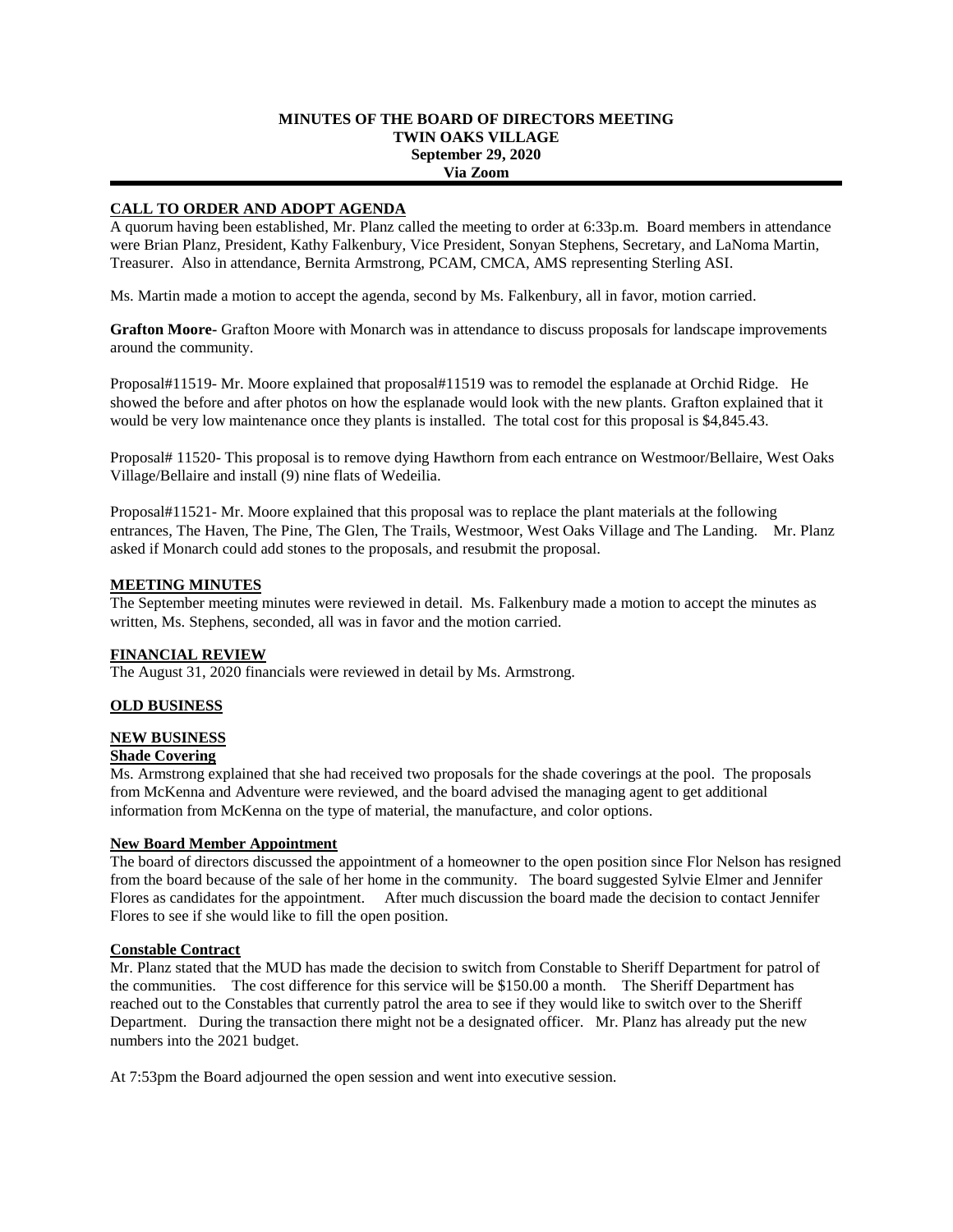# **MINUTES OF THE BOARD OF DIRECTORS MEETING TWIN OAKS VILLAGE September 29, 2020 Via Zoom**

# **CALL TO ORDER AND ADOPT AGENDA**

A quorum having been established, Mr. Planz called the meeting to order at 6:33p.m. Board members in attendance were Brian Planz, President, Kathy Falkenbury, Vice President, Sonyan Stephens, Secretary, and LaNoma Martin, Treasurer. Also in attendance, Bernita Armstrong, PCAM, CMCA, AMS representing Sterling ASI.

Ms. Martin made a motion to accept the agenda, second by Ms. Falkenbury, all in favor, motion carried.

**Grafton Moore-** Grafton Moore with Monarch was in attendance to discuss proposals for landscape improvements around the community.

Proposal#11519- Mr. Moore explained that proposal#11519 was to remodel the esplanade at Orchid Ridge. He showed the before and after photos on how the esplanade would look with the new plants. Grafton explained that it would be very low maintenance once they plants is installed. The total cost for this proposal is \$4,845.43.

Proposal# 11520- This proposal is to remove dying Hawthorn from each entrance on Westmoor/Bellaire, West Oaks Village/Bellaire and install (9) nine flats of Wedeilia.

Proposal#11521- Mr. Moore explained that this proposal was to replace the plant materials at the following entrances, The Haven, The Pine, The Glen, The Trails, Westmoor, West Oaks Village and The Landing. Mr. Planz asked if Monarch could add stones to the proposals, and resubmit the proposal.

# **MEETING MINUTES**

The September meeting minutes were reviewed in detail. Ms. Falkenbury made a motion to accept the minutes as written, Ms. Stephens, seconded, all was in favor and the motion carried.

# **FINANCIAL REVIEW**

The August 31, 2020 financials were reviewed in detail by Ms. Armstrong.

# **OLD BUSINESS**

# **NEW BUSINESS**

# **Shade Covering**

Ms. Armstrong explained that she had received two proposals for the shade coverings at the pool. The proposals from McKenna and Adventure were reviewed, and the board advised the managing agent to get additional information from McKenna on the type of material, the manufacture, and color options.

# **New Board Member Appointment**

The board of directors discussed the appointment of a homeowner to the open position since Flor Nelson has resigned from the board because of the sale of her home in the community. The board suggested Sylvie Elmer and Jennifer Flores as candidates for the appointment. After much discussion the board made the decision to contact Jennifer Flores to see if she would like to fill the open position.

#### **Constable Contract**

Mr. Planz stated that the MUD has made the decision to switch from Constable to Sheriff Department for patrol of the communities. The cost difference for this service will be \$150.00 a month. The Sheriff Department has reached out to the Constables that currently patrol the area to see if they would like to switch over to the Sheriff Department. During the transaction there might not be a designated officer. Mr. Planz has already put the new numbers into the 2021 budget.

At 7:53pm the Board adjourned the open session and went into executive session.